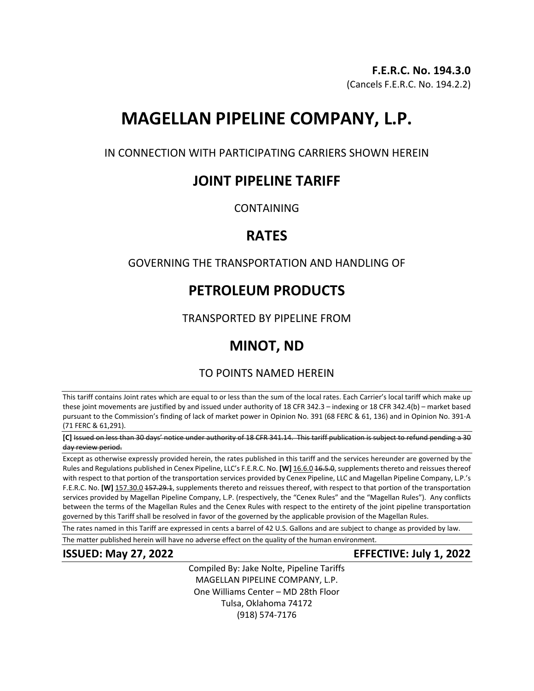# **MAGELLAN PIPELINE COMPANY, L.P.**

IN CONNECTION WITH PARTICIPATING CARRIERS SHOWN HEREIN

## **JOINT PIPELINE TARIFF**

CONTAINING

## **RATES**

## GOVERNING THE TRANSPORTATION AND HANDLING OF

# **PETROLEUM PRODUCTS**

TRANSPORTED BY PIPELINE FROM

# **MINOT, ND**

## TO POINTS NAMED HEREIN

This tariff contains Joint rates which are equal to or less than the sum of the local rates. Each Carrier's local tariff which make up these joint movements are justified by and issued under authority of 18 CFR 342.3 – indexing or 18 CFR 342.4(b) – market based pursuant to the Commission's finding of lack of market power in Opinion No. 391 (68 FERC & 61, 136) and in Opinion No. 391-A (71 FERC & 61,291).

**[C]** Issued on less than 30 days' notice under authority of 18 CFR 341.14. This tariff publication is subject to refund pending a 30 day review period.

Except as otherwise expressly provided herein, the rates published in this tariff and the services hereunder are governed by the Rules and Regulations published in Cenex Pipeline, LLC's F.E.R.C. No. **[W]** 16.6.0 16.5.0, supplements thereto and reissues thereof with respect to that portion of the transportation services provided by Cenex Pipeline, LLC and Magellan Pipeline Company, L.P.'s F.E.R.C. No. **[W]** 157.30.0 157.29.1, supplements thereto and reissues thereof, with respect to that portion of the transportation services provided by Magellan Pipeline Company, L.P. (respectively, the "Cenex Rules" and the "Magellan Rules"). Any conflicts between the terms of the Magellan Rules and the Cenex Rules with respect to the entirety of the joint pipeline transportation governed by this Tariff shall be resolved in favor of the governed by the applicable provision of the Magellan Rules.

The rates named in this Tariff are expressed in cents a barrel of 42 U.S. Gallons and are subject to change as provided by law.

The matter published herein will have no adverse effect on the quality of the human environment.

### **ISSUED: May 27, 2022 EFFECTIVE: July 1, 2022**

Compiled By: Jake Nolte, Pipeline Tariffs MAGELLAN PIPELINE COMPANY, L.P. One Williams Center – MD 28th Floor Tulsa, Oklahoma 74172 (918) 574-7176